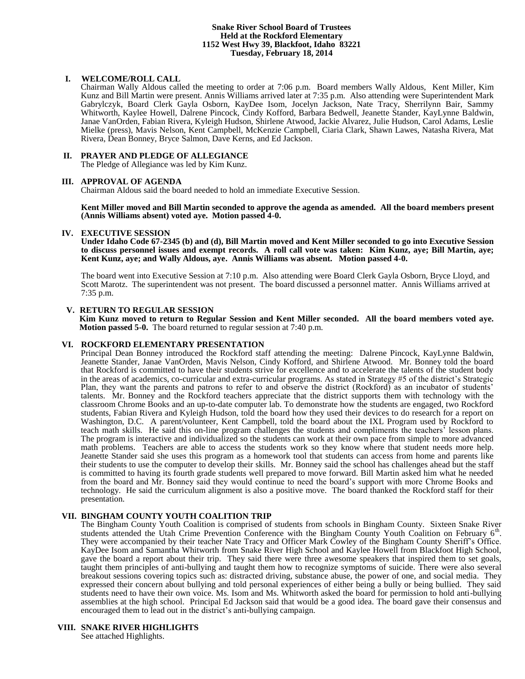#### **Snake River School Board of Trustees Held at the Rockford Elementary 1152 West Hwy 39, Blackfoot, Idaho 83221 Tuesday, February 18, 2014**

### **I. WELCOME/ROLL CALL**

Chairman Wally Aldous called the meeting to order at 7:06 p.m. Board members Wally Aldous, Kent Miller, Kim Kunz and Bill Martin were present. Annis Williams arrived later at 7:35 p.m. Also attending were Superintendent Mark Gabrylczyk, Board Clerk Gayla Osborn, KayDee Isom, Jocelyn Jackson, Nate Tracy, Sherrilynn Bair, Sammy Whitworth, Kaylee Howell, Dalrene Pincock, Cindy Kofford, Barbara Bedwell, Jeanette Stander, KayLynne Baldwin, Janae VanOrden, Fabian Rivera, Kyleigh Hudson, Shirlene Atwood, Jackie Alvarez, Julie Hudson, Carol Adams, Leslie Mielke (press), Mavis Nelson, Kent Campbell, McKenzie Campbell, Ciaria Clark, Shawn Lawes, Natasha Rivera, Mat Rivera, Dean Bonney, Bryce Salmon, Dave Kerns, and Ed Jackson.

### **II. PRAYER AND PLEDGE OF ALLEGIANCE**

The Pledge of Allegiance was led by Kim Kunz.

### **III. APPROVAL OF AGENDA**

Chairman Aldous said the board needed to hold an immediate Executive Session.

**Kent Miller moved and Bill Martin seconded to approve the agenda as amended. All the board members present (Annis Williams absent) voted aye. Motion passed 4-0.**

### **IV. EXECUTIVE SESSION**

**Under Idaho Code 67-2345 (b) and (d), Bill Martin moved and Kent Miller seconded to go into Executive Session to discuss personnel issues and exempt records. A roll call vote was taken: Kim Kunz, aye; Bill Martin, aye; Kent Kunz, aye; and Wally Aldous, aye. Annis Williams was absent. Motion passed 4-0.**

The board went into Executive Session at 7:10 p.m. Also attending were Board Clerk Gayla Osborn, Bryce Lloyd, and Scott Marotz. The superintendent was not present. The board discussed a personnel matter. Annis Williams arrived at 7:35 p.m.

### **V. RETURN TO REGULAR SESSION**

**Kim Kunz moved to return to Regular Session and Kent Miller seconded. All the board members voted aye. Motion passed 5-0.** The board returned to regular session at 7:40 p.m.

#### **VI. ROCKFORD ELEMENTARY PRESENTATION**

Principal Dean Bonney introduced the Rockford staff attending the meeting: Dalrene Pincock, KayLynne Baldwin, Jeanette Stander, Janae VanOrden, Mavis Nelson, Cindy Kofford, and Shirlene Atwood. Mr. Bonney told the board that Rockford is committed to have their students strive for excellence and to accelerate the talents of the student body in the areas of academics, co-curricular and extra-curricular programs. As stated in Strategy #5 of the district's Strategic Plan, they want the parents and patrons to refer to and observe the district (Rockford) as an incubator of students' talents. Mr. Bonney and the Rockford teachers appreciate that the district supports them with technology with the classroom Chrome Books and an up-to-date computer lab. To demonstrate how the students are engaged, two Rockford students, Fabian Rivera and Kyleigh Hudson, told the board how they used their devices to do research for a report on Washington, D.C. A parent/volunteer, Kent Campbell, told the board about the IXL Program used by Rockford to teach math skills. He said this on-line program challenges the students and compliments the teachers' lesson plans. The program is interactive and individualized so the students can work at their own pace from simple to more advanced math problems. Teachers are able to access the students work so they know where that student needs more help. Jeanette Stander said she uses this program as a homework tool that students can access from home and parents like their students to use the computer to develop their skills. Mr. Bonney said the school has challenges ahead but the staff is committed to having its fourth grade students well prepared to move forward. Bill Martin asked him what he needed from the board and Mr. Bonney said they would continue to need the board's support with more Chrome Books and technology. He said the curriculum alignment is also a positive move. The board thanked the Rockford staff for their presentation.

# **VII. BINGHAM COUNTY YOUTH COALITION TRIP**

The Bingham County Youth Coalition is comprised of students from schools in Bingham County. Sixteen Snake River students attended the Utah Crime Prevention Conference with the Bingham County Youth Coalition on February  $6<sup>th</sup>$ . They were accompanied by their teacher Nate Tracy and Officer Mark Cowley of the Bingham County Sheriff's Office. KayDee Isom and Samantha Whitworth from Snake River High School and Kaylee Howell from Blackfoot High School, gave the board a report about their trip. They said there were three awesome speakers that inspired them to set goals, taught them principles of anti-bullying and taught them how to recognize symptoms of suicide. There were also several breakout sessions covering topics such as: distracted driving, substance abuse, the power of one, and social media. They expressed their concern about bullying and told personal experiences of either being a bully or being bullied. They said students need to have their own voice. Ms. Isom and Ms. Whitworth asked the board for permission to hold anti-bullying assemblies at the high school. Principal Ed Jackson said that would be a good idea. The board gave their consensus and encouraged them to lead out in the district's anti-bullying campaign.

### **VIII. SNAKE RIVER HIGHLIGHTS**

See attached Highlights.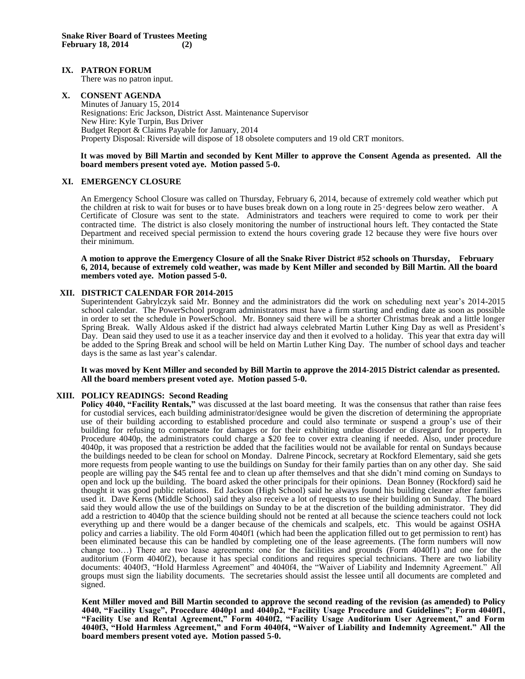# **IX. PATRON FORUM**

There was no patron input.

### **X. CONSENT AGENDA**

Minutes of January 15, 2014 Resignations: Eric Jackson, District Asst. Maintenance Supervisor New Hire: Kyle Turpin, Bus Driver Budget Report & Claims Payable for January, 2014 Property Disposal: Riverside will dispose of 18 obsolete computers and 19 old CRT monitors.

### **It was moved by Bill Martin and seconded by Kent Miller to approve the Consent Agenda as presented. All the board members present voted aye. Motion passed 5-0.**

# **XI. EMERGENCY CLOSURE**

An Emergency School Closure was called on Thursday, February 6, 2014, because of extremely cold weather which put the children at risk to wait for buses or to have buses break down on a long route in 25◦degrees below zero weather. A Certificate of Closure was sent to the state. Administrators and teachers were required to come to work per their contracted time. The district is also closely monitoring the number of instructional hours left. They contacted the State Department and received special permission to extend the hours covering grade 12 because they were five hours over their minimum.

**A motion to approve the Emergency Closure of all the Snake River District #52 schools on Thursday, February 6, 2014, because of extremely cold weather, was made by Kent Miller and seconded by Bill Martin. All the board members voted aye. Motion passed 5-0.** 

### **XII. DISTRICT CALENDAR FOR 2014-2015**

Superintendent Gabrylczyk said Mr. Bonney and the administrators did the work on scheduling next year's 2014-2015 school calendar. The PowerSchool program administrators must have a firm starting and ending date as soon as possible in order to set the schedule in PowerSchool. Mr. Bonney said there will be a shorter Christmas break and a little longer Spring Break. Wally Aldous asked if the district had always celebrated Martin Luther King Day as well as President's Day. Dean said they used to use it as a teacher inservice day and then it evolved to a holiday. This year that extra day will be added to the Spring Break and school will be held on Martin Luther King Day. The number of school days and teacher days is the same as last year's calendar.

**It was moved by Kent Miller and seconded by Bill Martin to approve the 2014-2015 District calendar as presented. All the board members present voted aye. Motion passed 5-0.** 

# **XIII. POLICY READINGS: Second Reading**

**Policy 4040, "Facility Rentals,"** was discussed at the last board meeting. It was the consensus that rather than raise fees for custodial services, each building administrator/designee would be given the discretion of determining the appropriate use of their building according to established procedure and could also terminate or suspend a group's use of their building for refusing to compensate for damages or for their exhibiting undue disorder or disregard for property. In Procedure 4040p, the administrators could charge a \$20 fee to cover extra cleaning if needed. Also, under procedure 4040p, it was proposed that a restriction be added that the facilities would not be available for rental on Sundays because the buildings needed to be clean for school on Monday. Dalrene Pincock, secretary at Rockford Elementary, said she gets more requests from people wanting to use the buildings on Sunday for their family parties than on any other day. She said people are willing pay the \$45 rental fee and to clean up after themselves and that she didn't mind coming on Sundays to open and lock up the building. The board asked the other principals for their opinions. Dean Bonney (Rockford) said he thought it was good public relations. Ed Jackson (High School) said he always found his building cleaner after families used it. Dave Kerns (Middle School) said they also receive a lot of requests to use their building on Sunday. The board said they would allow the use of the buildings on Sunday to be at the discretion of the building administrator. They did add a restriction to 4040p that the science building should not be rented at all because the science teachers could not lock everything up and there would be a danger because of the chemicals and scalpels, etc. This would be against OSHA policy and carries a liability. The old Form 4040f1 (which had been the application filled out to get permission to rent) has been eliminated because this can be handled by completing one of the lease agreements. (The form numbers will now change too…) There are two lease agreements: one for the facilities and grounds (Form 4040f1) and one for the auditorium (Form 4040f2), because it has special conditions and requires special technicians. There are two liability documents: 4040f3, "Hold Harmless Agreement" and 4040f4, the "Waiver of Liability and Indemnity Agreement." All groups must sign the liability documents. The secretaries should assist the lessee until all documents are completed and signed.

**Kent Miller moved and Bill Martin seconded to approve the second reading of the revision (as amended) to Policy 4040, "Facility Usage", Procedure 4040p1 and 4040p2, "Facility Usage Procedure and Guidelines"; Form 4040f1, "Facility Use and Rental Agreement," Form 4040f2, "Facility Usage Auditorium User Agreement," and Form 4040f3, "Hold Harmless Agreement," and Form 4040f4, "Waiver of Liability and Indemnity Agreement." All the board members present voted aye. Motion passed 5-0.**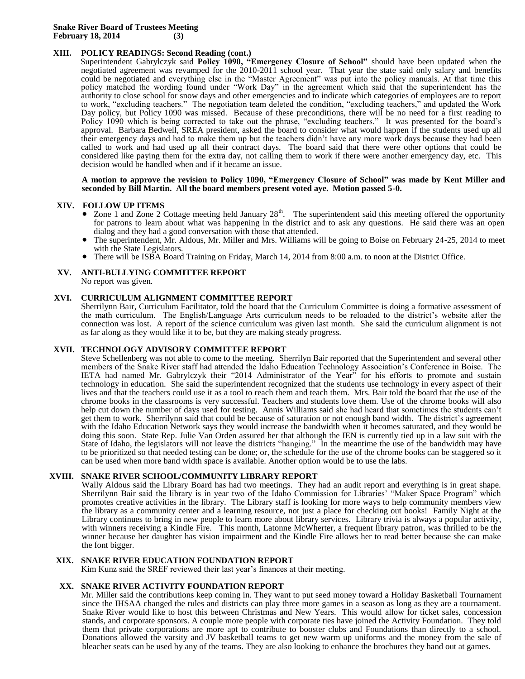#### **XIII. POLICY READINGS: Second Reading (cont.)**

Superintendent Gabrylczyk said **Policy 1090, "Emergency Closure of School"** should have been updated when the negotiated agreement was revamped for the 2010-2011 school year. That year the state said only salary and benefits could be negotiated and everything else in the "Master Agreement" was put into the policy manuals. At that time this policy matched the wording found under "Work Day" in the agreement which said that the superintendent has the authority to close school for snow days and other emergencies and to indicate which categories of employees are to report to work, "excluding teachers." The negotiation team deleted the condition, "excluding teachers," and updated the Work Day policy, but Policy 1090 was missed. Because of these preconditions, there will be no need for a first reading to Policy 1090 which is being corrected to take out the phrase, "excluding teachers." It was presented for the board's approval. Barbara Bedwell, SREA president, asked the board to consider what would happen if the students used up all their emergency days and had to make them up but the teachers didn't have any more work days because they had been called to work and had used up all their contract days. The board said that there were other options that could be considered like paying them for the extra day, not calling them to work if there were another emergency day, etc. This decision would be handled when and if it became an issue.

#### **A motion to approve the revision to Policy 1090, "Emergency Closure of School" was made by Kent Miller and seconded by Bill Martin. All the board members present voted aye. Motion passed 5-0.**

# **XIV. FOLLOW UP ITEMS**

- $\bullet$  Zone 1 and Zone 2 Cottage meeting held January 28<sup>th</sup>. The superintendent said this meeting offered the opportunity for patrons to learn about what was happening in the district and to ask any questions. He said there was an open dialog and they had a good conversation with those that attended.
- The superintendent, Mr. Aldous, Mr. Miller and Mrs. Williams will be going to Boise on February 24-25, 2014 to meet with the State Legislators.
- There will be ISBA Board Training on Friday, March 14, 2014 from 8:00 a.m. to noon at the District Office.

#### **XV. ANTI-BULLYING COMMITTEE REPORT**  No report was given.

### **XVI. CURRICULUM ALIGNMENT COMMITTEE REPORT**

Sherrilynn Bair, Curriculum Facilitator, told the board that the Curriculum Committee is doing a formative assessment of the math curriculum. The English/Language Arts curriculum needs to be reloaded to the district's website after the connection was lost. A report of the science curriculum was given last month. She said the curriculum alignment is not as far along as they would like it to be, but they are making steady progress.

# **XVII. TECHNOLOGY ADVISORY COMMITTEE REPORT**

Steve Schellenberg was not able to come to the meeting. Sherrilyn Bair reported that the Superintendent and several other members of the Snake River staff had attended the Idaho Education Technology Association's Conference in Boise. The IETA had named Mr. Gabrylczyk their "2014 Administrator of the Year" for his efforts to promote and sustain technology in education. She said the superintendent recognized that the students use technology in every aspect of their lives and that the teachers could use it as a tool to reach them and teach them. Mrs. Bair told the board that the use of the chrome books in the classrooms is very successful. Teachers and students love them. Use of the chrome books will also help cut down the number of days used for testing. Annis Williams said she had heard that sometimes the students can't get them to work. Sherrilynn said that could be because of saturation or not enough band width. The district's agreement with the Idaho Education Network says they would increase the bandwidth when it becomes saturated, and they would be doing this soon. State Rep. Julie Van Orden assured her that although the IEN is currently tied up in a law suit with the State of Idaho, the legislators will not leave the districts "hanging." In the meantime the use of the bandwidth may have to be prioritized so that needed testing can be done; or, the schedule for the use of the chrome books can be staggered so it can be used when more band width space is available. Another option would be to use the labs.

# **XVIII. SNAKE RIVER SCHOOL/COMMUNITY LIBRARY REPORT**

Wally Aldous said the Library Board has had two meetings. They had an audit report and everything is in great shape. Sherrilynn Bair said the library is in year two of the Idaho Commission for Libraries' "Maker Space Program" which promotes creative activities in the library. The Library staff is looking for more ways to help community members view the library as a community center and a learning resource, not just a place for checking out books! Family Night at the Library continues to bring in new people to learn more about library services. Library trivia is always a popular activity, with winners receiving a Kindle Fire. This month, Latonne McWherter, a frequent library patron, was thrilled to be the winner because her daughter has vision impairment and the Kindle Fire allows her to read better because she can make the font bigger.

# **XIX. SNAKE RIVER EDUCATION FOUNDATION REPORT**

Kim Kunz said the SREF reviewed their last year's finances at their meeting.

# **XX. SNAKE RIVER ACTIVITY FOUNDATION REPORT**

Mr. Miller said the contributions keep coming in. They want to put seed money toward a Holiday Basketball Tournament since the IHSAA changed the rules and districts can play three more games in a season as long as they are a tournament. Snake River would like to host this between Christmas and New Years. This would allow for ticket sales, concession stands, and corporate sponsors. A couple more people with corporate ties have joined the Activity Foundation. They told them that private corporations are more apt to contribute to booster clubs and Foundations than directly to a school. Donations allowed the varsity and JV basketball teams to get new warm up uniforms and the money from the sale of bleacher seats can be used by any of the teams. They are also looking to enhance the brochures they hand out at games.